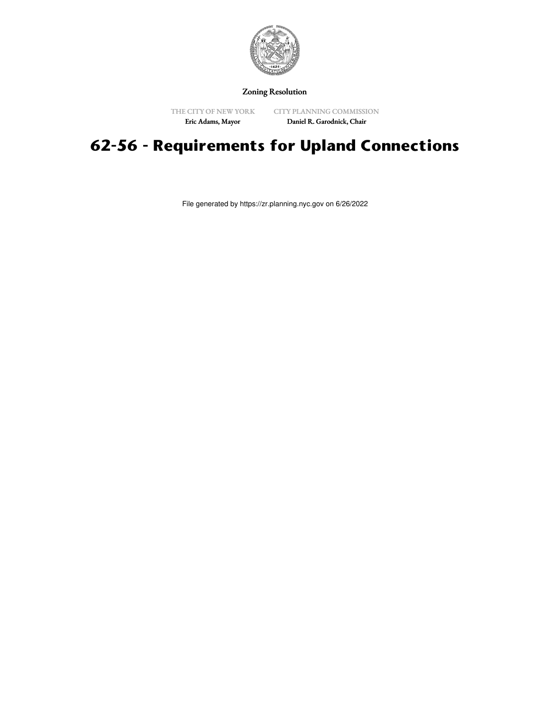

Zoning Resolution

THE CITY OF NEW YORK Eric Adams, Mayor

CITY PLANNING COMMISSION Daniel R. Garodnick, Chair

# **62-56 - Requirements for Upland Connections**

File generated by https://zr.planning.nyc.gov on 6/26/2022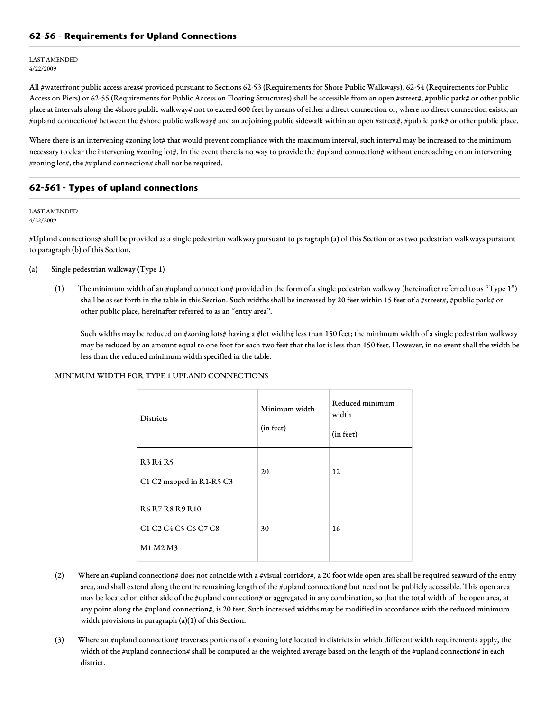## **62-56 - Requirements for Upland Connections**

LAST AMENDED 4/22/2009

All #waterfront public access areas# provided pursuant to Sections 62-53 (Requirements for Shore Public Walkways), 62-54 (Requirements for Public Access on Piers) or 62-55 (Requirements for Public Access on Floating Structures) shall be accessible from an open #street#, #public park# or other public place at intervals along the #shore public walkway# not to exceed 600 feet by means of either a direct connection or, where no direct connection exists, an #upland connection# between the #shore public walkway# and an adjoining public sidewalk within an open #street#, #public park# or other public place.

Where there is an intervening #zoning lot# that would prevent compliance with the maximum interval, such interval may be increased to the minimum necessary to clear the intervening #zoning lot#. In the event there is no way to provide the #upland connection# without encroaching on an intervening #zoning lot#, the #upland connection# shall not be required.

# **62-561 - Types of upland connections**

LAST AMENDED 4/22/2009

#Upland connections# shall be provided as a single pedestrian walkway pursuant to paragraph (a) of this Section or as two pedestrian walkways pursuant to paragraph (b) of this Section.

- (a) Single pedestrian walkway (Type 1)
	- (1) The minimum width of an #upland connection# provided in the form of a single pedestrian walkway (hereinafter referred to as "Type 1") shall be as set forth in the table in this Section. Such widths shall be increased by 20 feet within 15 feet of a #street#, #public park# or other public place, hereinafter referred to as an "entry area".

Such widths may be reduced on #zoning lots# having a #lot width# less than 150 feet; the minimum width of a single pedestrian walkway may be reduced by an amount equal to one foot for each two feet that the lot is less than 150 feet. However, in no event shall the width be less than the reduced minimum width specified in the table.

#### MINIMUM WIDTH FOR TYPE 1 UPLAND CONNECTIONS

| <b>Districts</b>                                                                                                                           | Minimum width<br>(in feet) | Reduced minimum<br>width<br>(in feet) |
|--------------------------------------------------------------------------------------------------------------------------------------------|----------------------------|---------------------------------------|
| <b>R3 R4 R5</b><br>C1 C2 mapped in R1-R5 C3                                                                                                | 20                         | 12                                    |
| <b>R6R7R8R9R10</b><br>C <sub>1</sub> C <sub>2</sub> C <sub>4</sub> C <sub>5</sub> C <sub>6</sub> C <sub>7</sub> C <sub>8</sub><br>M1 M2 M3 | 30                         | 16                                    |

- (2) Where an #upland connection# does not coincide with a #visual corridor#, a 20 foot wide open area shall be required seaward of the entry area, and shall extend along the entire remaining length of the #upland connection# but need not be publicly accessible. This open area may be located on either side of the #upland connection# or aggregated in any combination, so that the total width of the open area, at any point along the #upland connection#, is 20 feet. Such increased widths may be modified in accordance with the reduced minimum width provisions in paragraph (a)(1) of this Section.
- (3) Where an #upland connection# traverses portions of a #zoning lot# located in districts in which different width requirements apply, the width of the #upland connection# shall be computed as the weighted average based on the length of the #upland connection# in each district.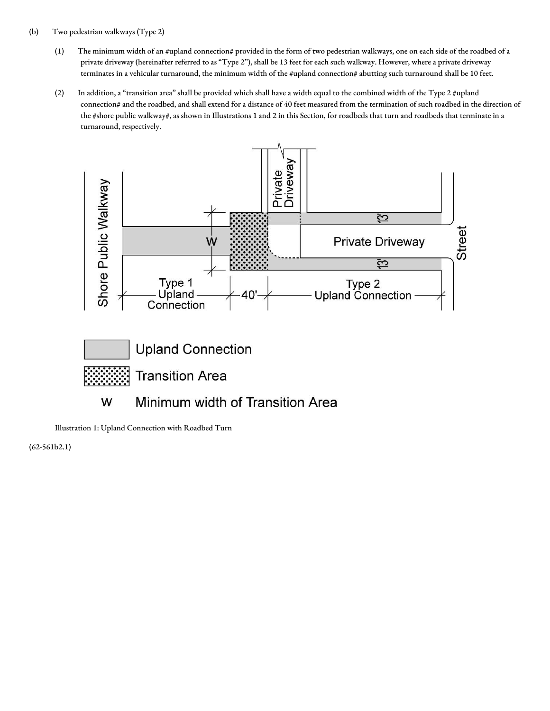## (b) Two pedestrian walkways (Type 2)

- (1) The minimum width of an #upland connection# provided in the form of two pedestrian walkways, one on each side of the roadbed of a private driveway (hereinafter referred to as "Type 2"), shall be 13 feet for each such walkway. However, where a private driveway terminates in a vehicular turnaround, the minimum width of the #upland connection# abutting such turnaround shall be 10 feet.
- (2) In addition, a "transition area" shall be provided which shall have a width equal to the combined width of the Type 2 #upland connection# and the roadbed, and shall extend for a distance of 40 feet measured from the termination of such roadbed in the direction of the #shore public walkway#, as shown in Illustrations 1 and 2 in this Section, for roadbeds that turn and roadbeds that terminate in a turnaround, respectively.



Illustration 1: Upland Connection with Roadbed Turn

(62-561b2.1)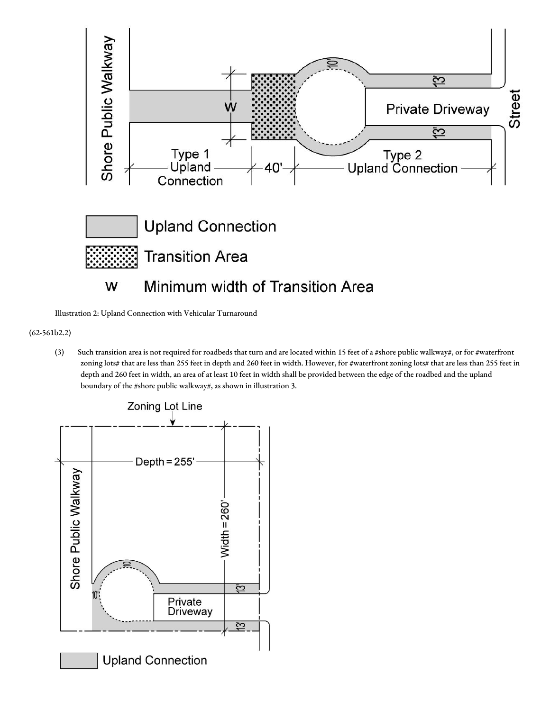

Illustration 2: Upland Connection with Vehicular Turnaround

(62-561b2.2)

(3) Such transition area is not required for roadbeds that turn and are located within 15 feet of a #shore public walkway#, or for #waterfront zoning lots# that are less than 255 feet in depth and 260 feet in width. However, for #waterfront zoning lots# that are less than 255 feet in depth and 260 feet in width, an area of at least 10 feet in width shall be provided between the edge of the roadbed and the upland boundary of the #shore public walkway#, as shown in illustration 3.